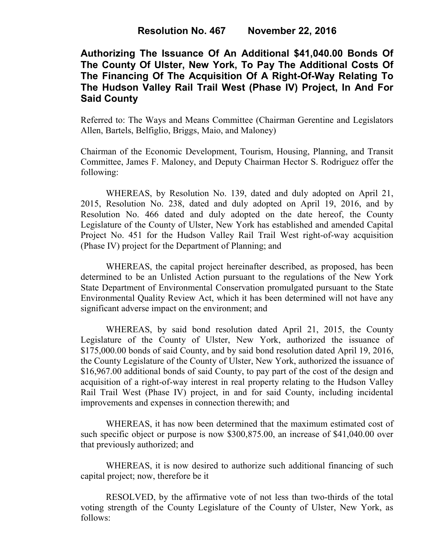## **Authorizing The Issuance Of An Additional \$41,040.00 Bonds Of The County Of Ulster, New York, To Pay The Additional Costs Of The Financing Of The Acquisition Of A Right-Of-Way Relating To The Hudson Valley Rail Trail West (Phase IV) Project, In And For Said County**

Referred to: The Ways and Means Committee (Chairman Gerentine and Legislators Allen, Bartels, Belfiglio, Briggs, Maio, and Maloney)

Chairman of the Economic Development, Tourism, Housing, Planning, and Transit Committee, James F. Maloney, and Deputy Chairman Hector S. Rodriguez offer the following:

WHEREAS, by Resolution No. 139, dated and duly adopted on April 21, 2015, Resolution No. 238, dated and duly adopted on April 19, 2016, and by Resolution No. 466 dated and duly adopted on the date hereof, the County Legislature of the County of Ulster, New York has established and amended Capital Project No. 451 for the Hudson Valley Rail Trail West right-of-way acquisition (Phase IV) project for the Department of Planning; and

WHEREAS, the capital project hereinafter described, as proposed, has been determined to be an Unlisted Action pursuant to the regulations of the New York State Department of Environmental Conservation promulgated pursuant to the State Environmental Quality Review Act, which it has been determined will not have any significant adverse impact on the environment; and

WHEREAS, by said bond resolution dated April 21, 2015, the County Legislature of the County of Ulster, New York, authorized the issuance of \$175,000.00 bonds of said County, and by said bond resolution dated April 19, 2016, the County Legislature of the County of Ulster, New York, authorized the issuance of \$16,967.00 additional bonds of said County, to pay part of the cost of the design and acquisition of a right-of-way interest in real property relating to the Hudson Valley Rail Trail West (Phase IV) project, in and for said County, including incidental improvements and expenses in connection therewith; and

WHEREAS, it has now been determined that the maximum estimated cost of such specific object or purpose is now \$300,875.00, an increase of \$41,040.00 over that previously authorized; and

WHEREAS, it is now desired to authorize such additional financing of such capital project; now, therefore be it

RESOLVED, by the affirmative vote of not less than two-thirds of the total voting strength of the County Legislature of the County of Ulster, New York, as follows: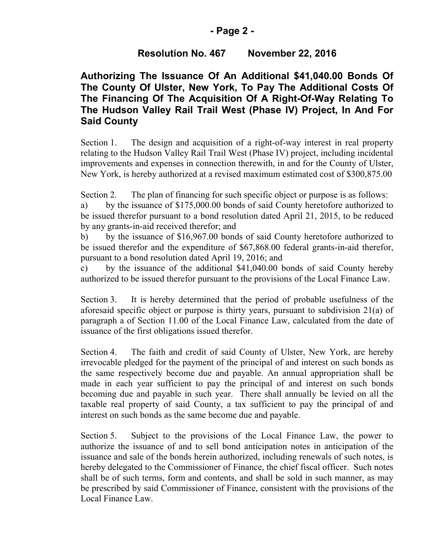#### **- Page 2 -**

### **Resolution No. 467 November 22, 2016**

# **Authorizing The Issuance Of An Additional \$41,040.00 Bonds Of The County Of Ulster, New York, To Pay The Additional Costs Of The Financing Of The Acquisition Of A Right-Of-Way Relating To The Hudson Valley Rail Trail West (Phase IV) Project, In And For Said County**

Section 1. The design and acquisition of a right-of-way interest in real property relating to the Hudson Valley Rail Trail West (Phase IV) project, including incidental improvements and expenses in connection therewith, in and for the County of Ulster, New York, is hereby authorized at a revised maximum estimated cost of \$300,875.00

Section 2. The plan of financing for such specific object or purpose is as follows:

a) by the issuance of \$175,000.00 bonds of said County heretofore authorized to be issued therefor pursuant to a bond resolution dated April 21, 2015, to be reduced by any grants-in-aid received therefor; and

b) by the issuance of \$16,967.00 bonds of said County heretofore authorized to be issued therefor and the expenditure of \$67,868.00 federal grants-in-aid therefor, pursuant to a bond resolution dated April 19, 2016; and

c) by the issuance of the additional \$41,040.00 bonds of said County hereby authorized to be issued therefor pursuant to the provisions of the Local Finance Law.

Section 3. It is hereby determined that the period of probable usefulness of the aforesaid specific object or purpose is thirty years, pursuant to subdivision 21(a) of paragraph a of Section 11.00 of the Local Finance Law, calculated from the date of issuance of the first obligations issued therefor.

Section 4. The faith and credit of said County of Ulster, New York, are hereby irrevocable pledged for the payment of the principal of and interest on such bonds as the same respectively become due and payable. An annual appropriation shall be made in each year sufficient to pay the principal of and interest on such bonds becoming due and payable in such year. There shall annually be levied on all the taxable real property of said County, a tax sufficient to pay the principal of and interest on such bonds as the same become due and payable.

Section 5. Subject to the provisions of the Local Finance Law, the power to authorize the issuance of and to sell bond anticipation notes in anticipation of the issuance and sale of the bonds herein authorized, including renewals of such notes, is hereby delegated to the Commissioner of Finance, the chief fiscal officer. Such notes shall be of such terms, form and contents, and shall be sold in such manner, as may be prescribed by said Commissioner of Finance, consistent with the provisions of the Local Finance Law.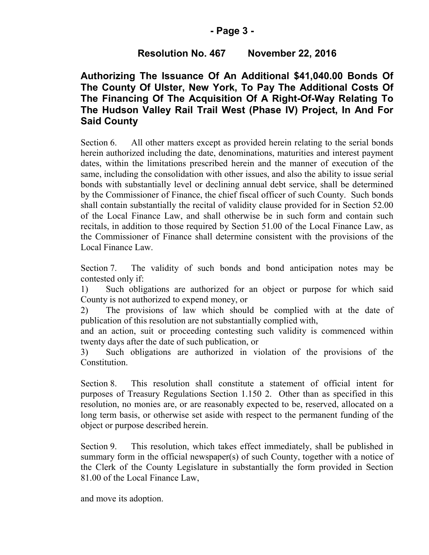# **Resolution No. 467 November 22, 2016**

# **Authorizing The Issuance Of An Additional \$41,040.00 Bonds Of The County Of Ulster, New York, To Pay The Additional Costs Of The Financing Of The Acquisition Of A Right-Of-Way Relating To The Hudson Valley Rail Trail West (Phase IV) Project, In And For Said County**

Section 6. All other matters except as provided herein relating to the serial bonds herein authorized including the date, denominations, maturities and interest payment dates, within the limitations prescribed herein and the manner of execution of the same, including the consolidation with other issues, and also the ability to issue serial bonds with substantially level or declining annual debt service, shall be determined by the Commissioner of Finance, the chief fiscal officer of such County. Such bonds shall contain substantially the recital of validity clause provided for in Section 52.00 of the Local Finance Law, and shall otherwise be in such form and contain such recitals, in addition to those required by Section 51.00 of the Local Finance Law, as the Commissioner of Finance shall determine consistent with the provisions of the Local Finance Law.

Section 7. The validity of such bonds and bond anticipation notes may be contested only if:

1) Such obligations are authorized for an object or purpose for which said County is not authorized to expend money, or

2) The provisions of law which should be complied with at the date of publication of this resolution are not substantially complied with,

and an action, suit or proceeding contesting such validity is commenced within twenty days after the date of such publication, or

3) Such obligations are authorized in violation of the provisions of the Constitution.

Section 8. This resolution shall constitute a statement of official intent for purposes of Treasury Regulations Section 1.150 2. Other than as specified in this resolution, no monies are, or are reasonably expected to be, reserved, allocated on a long term basis, or otherwise set aside with respect to the permanent funding of the object or purpose described herein.

Section 9. This resolution, which takes effect immediately, shall be published in summary form in the official newspaper(s) of such County, together with a notice of the Clerk of the County Legislature in substantially the form provided in Section 81.00 of the Local Finance Law,

and move its adoption.